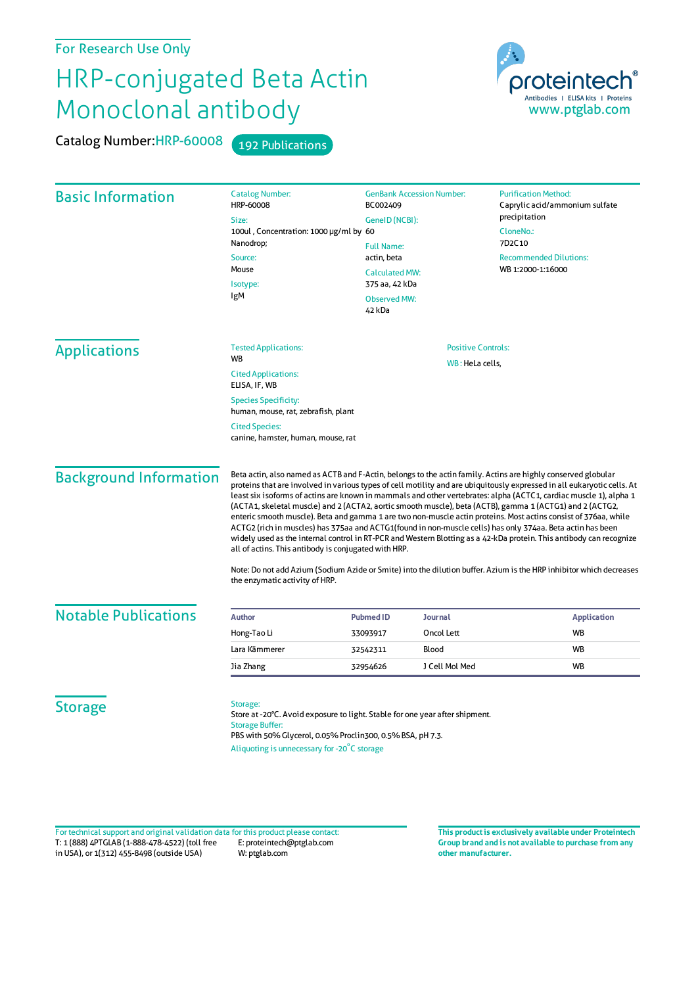## For Research Use Only

## HRP-conjugated Beta Actin Monoclonal antibody

Catalog Number: HRP-60008 192 Publications



| <b>Basic Information</b>                                           | <b>Catalog Number:</b><br>HRP-60008<br>Size:                                                                                                                                                                                                                                                                                                                                                                                                                                                                                                                                                                                                                                                                                                                                                                                                                                                                                                                                                                                                       | <b>GenBank Accession Number:</b><br>BC002409<br>GeneID (NCBI):<br><b>Full Name:</b>     |                | <b>Purification Method:</b><br>Caprylic acid/ammonium sulfate<br>precipitation |           |                             |  |                           |
|--------------------------------------------------------------------|----------------------------------------------------------------------------------------------------------------------------------------------------------------------------------------------------------------------------------------------------------------------------------------------------------------------------------------------------------------------------------------------------------------------------------------------------------------------------------------------------------------------------------------------------------------------------------------------------------------------------------------------------------------------------------------------------------------------------------------------------------------------------------------------------------------------------------------------------------------------------------------------------------------------------------------------------------------------------------------------------------------------------------------------------|-----------------------------------------------------------------------------------------|----------------|--------------------------------------------------------------------------------|-----------|-----------------------------|--|---------------------------|
|                                                                    | 100ul, Concentration: 1000 µg/ml by 60                                                                                                                                                                                                                                                                                                                                                                                                                                                                                                                                                                                                                                                                                                                                                                                                                                                                                                                                                                                                             |                                                                                         |                | CloneNo.:<br>7D2C10                                                            |           |                             |  |                           |
|                                                                    | Nanodrop;                                                                                                                                                                                                                                                                                                                                                                                                                                                                                                                                                                                                                                                                                                                                                                                                                                                                                                                                                                                                                                          |                                                                                         |                |                                                                                |           |                             |  |                           |
|                                                                    | Source:<br>Mouse<br>Isotype:                                                                                                                                                                                                                                                                                                                                                                                                                                                                                                                                                                                                                                                                                                                                                                                                                                                                                                                                                                                                                       | actin, beta<br><b>Calculated MW:</b><br>375 aa, 42 kDa<br><b>Observed MW:</b><br>42 kDa |                | <b>Recommended Dilutions:</b><br>WB 1:2000-1:16000                             |           |                             |  |                           |
|                                                                    |                                                                                                                                                                                                                                                                                                                                                                                                                                                                                                                                                                                                                                                                                                                                                                                                                                                                                                                                                                                                                                                    |                                                                                         |                |                                                                                | IgM       |                             |  |                           |
|                                                                    |                                                                                                                                                                                                                                                                                                                                                                                                                                                                                                                                                                                                                                                                                                                                                                                                                                                                                                                                                                                                                                                    |                                                                                         |                |                                                                                |           | <b>Tested Applications:</b> |  | <b>Positive Controls:</b> |
|                                                                    | <b>Applications</b>                                                                                                                                                                                                                                                                                                                                                                                                                                                                                                                                                                                                                                                                                                                                                                                                                                                                                                                                                                                                                                |                                                                                         |                |                                                                                | <b>WB</b> | WB: HeLa cells,             |  |                           |
| <b>Cited Applications:</b><br>ELISA, IF, WB                        |                                                                                                                                                                                                                                                                                                                                                                                                                                                                                                                                                                                                                                                                                                                                                                                                                                                                                                                                                                                                                                                    |                                                                                         |                |                                                                                |           |                             |  |                           |
| <b>Species Specificity:</b><br>human, mouse, rat, zebrafish, plant |                                                                                                                                                                                                                                                                                                                                                                                                                                                                                                                                                                                                                                                                                                                                                                                                                                                                                                                                                                                                                                                    |                                                                                         |                |                                                                                |           |                             |  |                           |
| <b>Cited Species:</b><br>canine, hamster, human, mouse, rat        |                                                                                                                                                                                                                                                                                                                                                                                                                                                                                                                                                                                                                                                                                                                                                                                                                                                                                                                                                                                                                                                    |                                                                                         |                |                                                                                |           |                             |  |                           |
| <b>Background Information</b>                                      | Beta actin, also named as ACTB and F-Actin, belongs to the actin family. Actins are highly conserved globular<br>proteins that are involved in various types of cell motility and are ubiquitously expressed in all eukaryotic cells. At<br>least six isoforms of actins are known in mammals and other vertebrates: alpha (ACTC1, cardiac muscle 1), alpha 1<br>(ACTA1, skeletal muscle) and 2 (ACTA2, aortic smooth muscle), beta (ACTB), gamma 1 (ACTG1) and 2 (ACTG2,<br>enteric smooth muscle). Beta and gamma 1 are two non-muscle actin proteins. Most actins consist of 376aa, while<br>ACTG2 (rich in muscles) has 375aa and ACTG1(found in non-muscle cells) has only 374aa. Beta actin has been<br>widely used as the internal control in RT-PCR and Western Blotting as a 42-kDa protein. This antibody can recognize<br>all of actins. This antibody is conjugated with HRP.<br>Note: Do not add Azium (Sodium Azide or Smite) into the dilution buffer. Azium is the HRP inhibitor which decreases<br>the enzymatic activity of HRP. |                                                                                         |                |                                                                                |           |                             |  |                           |
| <b>Notable Publications</b>                                        | <b>Author</b>                                                                                                                                                                                                                                                                                                                                                                                                                                                                                                                                                                                                                                                                                                                                                                                                                                                                                                                                                                                                                                      | <b>Pubmed ID</b>                                                                        | <b>Journal</b> | <b>Application</b>                                                             |           |                             |  |                           |
|                                                                    | Hong-Tao Li                                                                                                                                                                                                                                                                                                                                                                                                                                                                                                                                                                                                                                                                                                                                                                                                                                                                                                                                                                                                                                        | 33093917                                                                                | Oncol Lett     | <b>WB</b>                                                                      |           |                             |  |                           |
|                                                                    | Lara Kämmerer                                                                                                                                                                                                                                                                                                                                                                                                                                                                                                                                                                                                                                                                                                                                                                                                                                                                                                                                                                                                                                      | 32542311                                                                                | Blood          | <b>WB</b>                                                                      |           |                             |  |                           |
|                                                                    | Jia Zhang                                                                                                                                                                                                                                                                                                                                                                                                                                                                                                                                                                                                                                                                                                                                                                                                                                                                                                                                                                                                                                          | 32954626                                                                                | J Cell Mol Med | <b>WB</b>                                                                      |           |                             |  |                           |
| <b>Storage</b>                                                     | Storage:<br>Store at -20°C. Avoid exposure to light. Stable for one year after shipment.<br><b>Storage Buffer:</b><br>PBS with 50% Glycerol, 0.05% Proclin300, 0.5% BSA, pH 7.3.<br>Aliquoting is unnecessary for -20°C storage                                                                                                                                                                                                                                                                                                                                                                                                                                                                                                                                                                                                                                                                                                                                                                                                                    |                                                                                         |                |                                                                                |           |                             |  |                           |

T: 1 (888) 4PTGLAB (1-888-478-4522) (toll free in USA), or 1(312) 455-8498 (outside USA) E: proteintech@ptglab.com W: ptglab.com Fortechnical support and original validation data forthis product please contact: **This productis exclusively available under Proteintech**

**Group brand and is not available to purchase from any other manufacturer.**